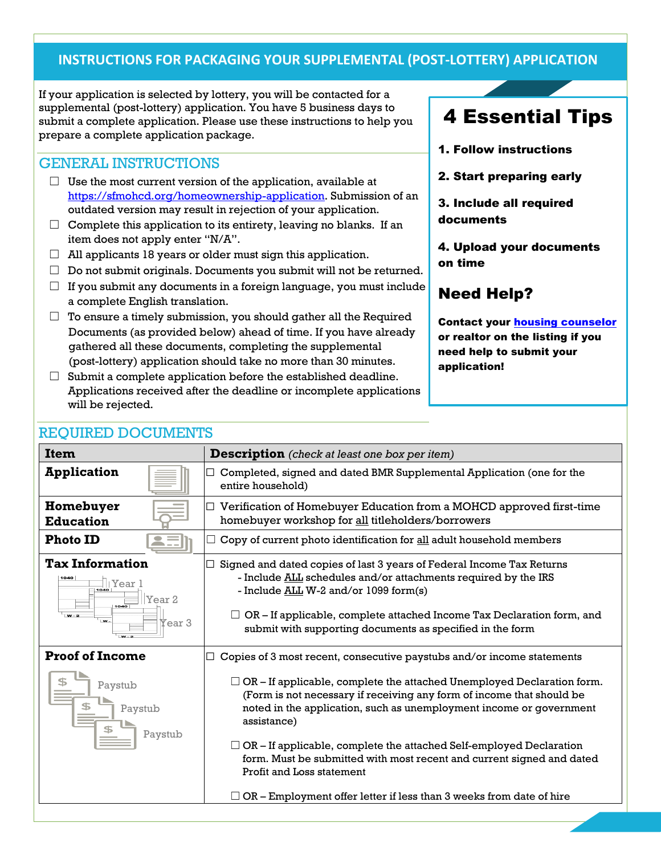## **INSTRUCTIONS FOR PACKAGING YOUR SUPPLEMENTAL (POST-LOTTERY) APPLICATION**

If your application is selected by lottery, you will be contacted for a supplemental (post-lottery) application. You have 5 business days to submit a complete application. Please use these instructions to help you prepare a complete application package.

### GENERAL INSTRUCTIONS

- $\Box$  Use the [most current version](https://sfmohcd.org/homeownership-application) of the application, available at [https://sfmohcd.org/homeownership-application.](https://sfmohcd.org/homeownership-application) Submission of an outdated version may result in rejection of your application.
- $\Box$  Complete this application to its entirety, leaving no blanks. If an item does not apply enter "N/A".
- $\Box$  All applicants 18 years or older must sign this application.
- $\Box$  Do not submit originals. Documents you submit will not be returned.
- $\Box$  If you submit any documents in a foreign language, you must include a complete English translation.
- $\Box$  To ensure a timely submission, you should gather all the Required Documents (as provided below) ahead of time. If you have already gathered all these documents, completing the supplemental (post-lottery) application should take no more than 30 minutes.
- $\Box$  Submit a complete application before the established deadline. Applications received after the deadline or incomplete applications will be rejected.

# 4 Essential Tips

- 1. Follow instructions
- 2. Start preparing early

3. Include all required documents

4. Upload your documents on time

# Need Help?

Contact your [housing counselor](https://sfmohcd.org/homebuyer-counseling-agencies) or realtor on the listing if you need help to submit your application!

| <b>Item</b>                                                                                       | <b>Description</b> (check at least one box per item)                                                                                                                                                                                                                                                                                                                                                                                                                                                                                                                                     |
|---------------------------------------------------------------------------------------------------|------------------------------------------------------------------------------------------------------------------------------------------------------------------------------------------------------------------------------------------------------------------------------------------------------------------------------------------------------------------------------------------------------------------------------------------------------------------------------------------------------------------------------------------------------------------------------------------|
| <b>Application</b>                                                                                | Completed, signed and dated BMR Supplemental Application (one for the<br>entire household)                                                                                                                                                                                                                                                                                                                                                                                                                                                                                               |
| Homebuyer<br><b>Education</b>                                                                     | $\Box$ Verification of Homebuyer Education from a MOHCD approved first-time<br>homebuyer workshop for all titleholders/borrowers                                                                                                                                                                                                                                                                                                                                                                                                                                                         |
| <b>Photo ID</b>                                                                                   | Copy of current photo identification for all adult household members                                                                                                                                                                                                                                                                                                                                                                                                                                                                                                                     |
| <b>Tax Information</b><br>1040<br>Year<br>Year 2<br>1040<br>$W - 2$<br>$W -$<br>Tear <sub>3</sub> | Signed and dated copies of last 3 years of Federal Income Tax Returns<br>- Include ALL schedules and/or attachments required by the IRS<br>- Include ALL W-2 and/or 1099 form(s)<br>$\Box$ OR – If applicable, complete attached Income Tax Declaration form, and<br>submit with supporting documents as specified in the form                                                                                                                                                                                                                                                           |
| <b>Proof of Income</b><br>Paystub<br>Paystub<br>Paystub                                           | Copies of 3 most recent, consecutive paystubs and/or income statements<br>$\Box$ OR – If applicable, complete the attached Unemployed Declaration form.<br>(Form is not necessary if receiving any form of income that should be<br>noted in the application, such as unemployment income or government<br>assistance)<br>$\Box$ OR – If applicable, complete the attached Self-employed Declaration<br>form. Must be submitted with most recent and current signed and dated<br>Profit and Loss statement<br>$\Box$ OR – Employment offer letter if less than 3 weeks from date of hire |

## REQUIRED DOCUMENTS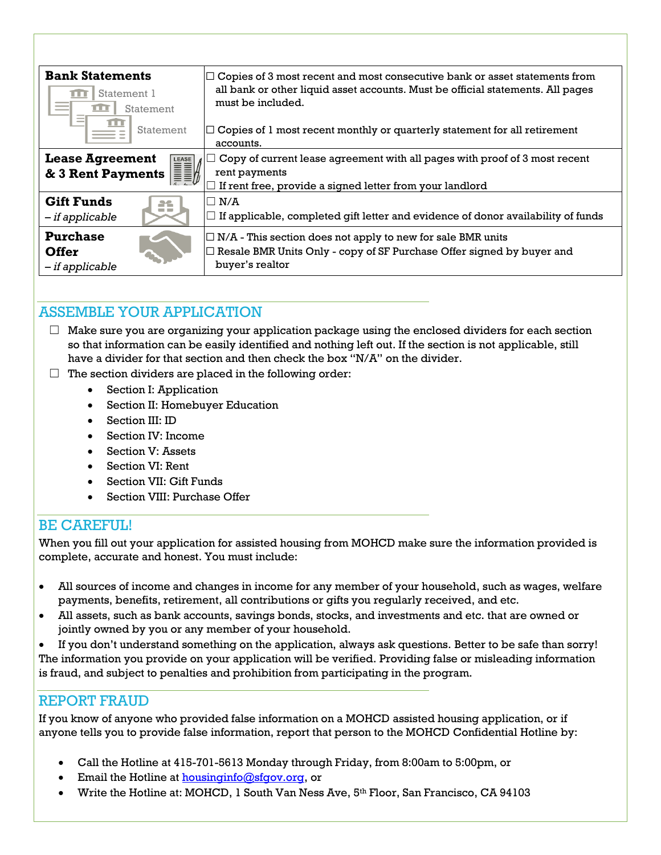| <b>Bank Statements</b><br>Statement 1<br>m<br>Statement<br>ПU         | $\Box$ Copies of 3 most recent and most consecutive bank or asset statements from<br>all bank or other liquid asset accounts. Must be official statements. All pages<br>must be included. |  |  |
|-----------------------------------------------------------------------|-------------------------------------------------------------------------------------------------------------------------------------------------------------------------------------------|--|--|
| Statement                                                             | $\Box$ Copies of 1 most recent monthly or quarterly statement for all retirement<br>accounts.                                                                                             |  |  |
| <b>Lease Agreement</b><br><b>Lease Agreement</b><br>& 3 Rent Payments | Copy of current lease agreement with all pages with proof of 3 most recent<br>rent payments<br>If rent free, provide a signed letter from your landlord                                   |  |  |
| <b>Gift Funds</b><br>æ<br>- if applicable                             | $\Box$ N/A<br>$\Box$ If applicable, completed gift letter and evidence of donor availability of funds                                                                                     |  |  |
| <b>Purchase</b><br><b>Offer</b><br>- if applicable                    | $\Box$ N/A - This section does not apply to new for sale BMR units<br>$\Box$ Resale BMR Units Only - copy of SF Purchase Offer signed by buyer and<br>buyer's realtor                     |  |  |

## ASSEMBLE YOUR APPLICATION

- $\Box$  Make sure you are organizing your application package using the enclosed dividers for each section so that information can be easily identified and nothing left out. If the section is not applicable, still have a divider for that section and then check the box "N/A" on the divider.
- $\Box$  The section dividers are placed in the following order:
	- Section I: Application
	- Section II: Homebuyer Education
	- Section III: ID
	- Section IV: Income
	- Section V: Assets
	- Section VI: Rent
	- Section VII: Gift Funds
	- Section VIII: Purchase Offer

## BE CAREFUL!

When you fill out your application for assisted housing from MOHCD make sure the information provided is complete, accurate and honest. You must include:

- All sources of income and changes in income for any member of your household, such as wages, welfare payments, benefits, retirement, all contributions or gifts you regularly received, and etc.
- All assets, such as bank accounts, savings bonds, stocks, and investments and etc. that are owned or jointly owned by you or any member of your household.

 If you don't understand something on the application, always ask questions. Better to be safe than sorry! The information you provide on your application will be verified. Providing false or misleading information is fraud, and subject to penalties and prohibition from participating in the program.

## REPORT FRAUD

If you know of anyone who provided false information on a MOHCD assisted housing application, or if anyone tells you to provide false information, report that person to the MOHCD Confidential Hotline by:

- Call the Hotline at 415-701-5613 Monday through Friday, from 8:00am to 5:00pm, or
- Email the Hotline a[t housinginfo@sfgov.org,](mailto:housinginfo@sfgov.org) or
- Write the Hotline at: MOHCD, 1 South Van Ness Ave, 5th Floor, San Francisco, CA 94103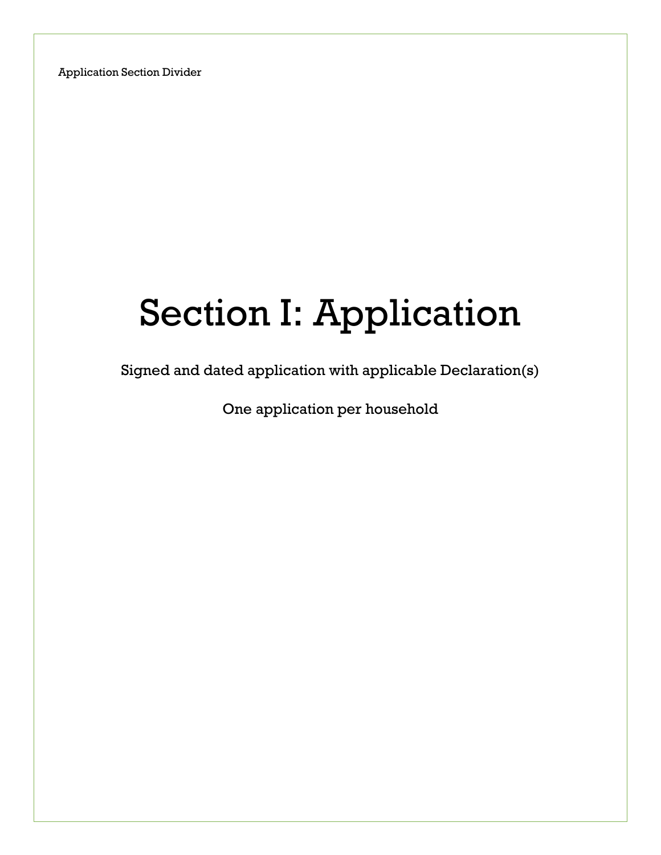# Section I: Application

Signed and dated application with applicable Declaration(s)

One application per household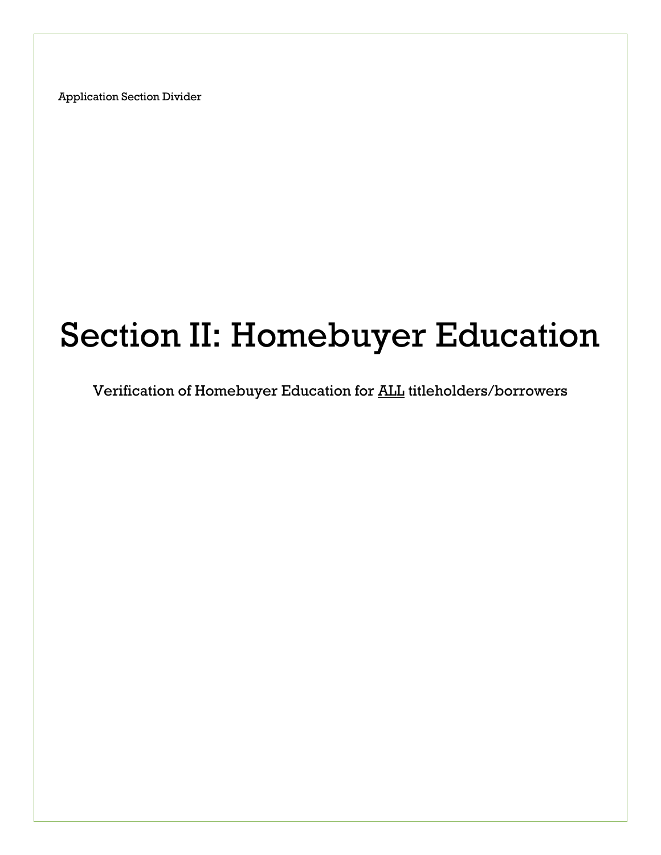# Section II: Homebuyer Education

Verification of Homebuyer Education for **ALL** titleholders/borrowers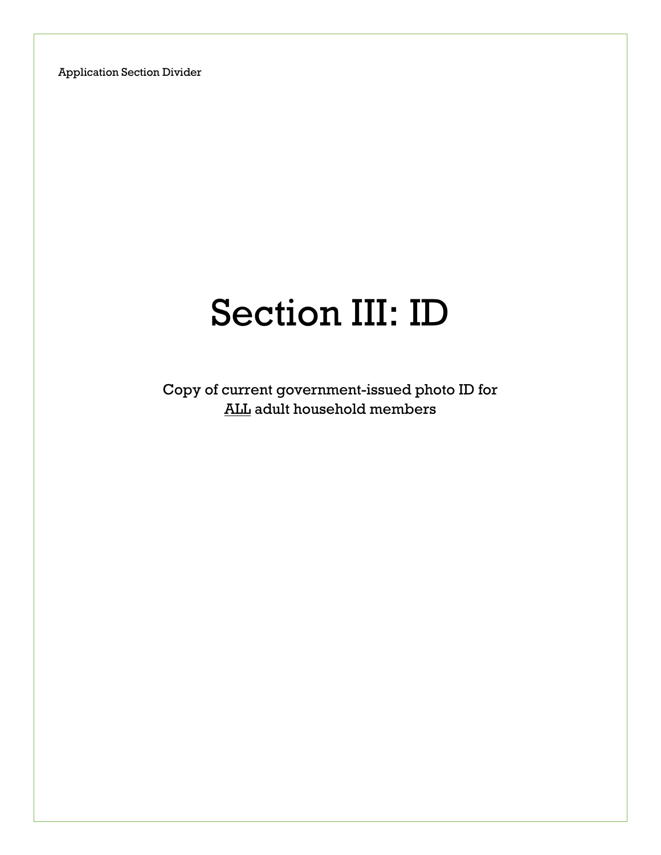# Section III: ID

Copy of current government-issued photo ID for ALL adult household members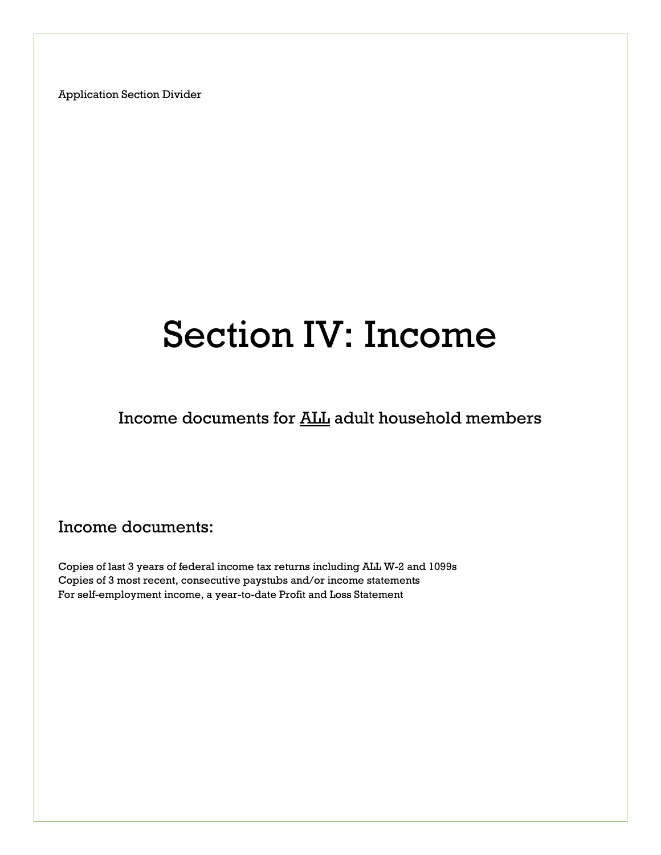# Section IV: Income

Income documents for ALL adult household members

## Income documents:

Copies of last 3 years of federal income tax returns including ALL W-2 and 1099s Copies of 3 most recent, consecutive paystubs and/or income statements For self-employment income, a year-to-date Profit and Loss Statement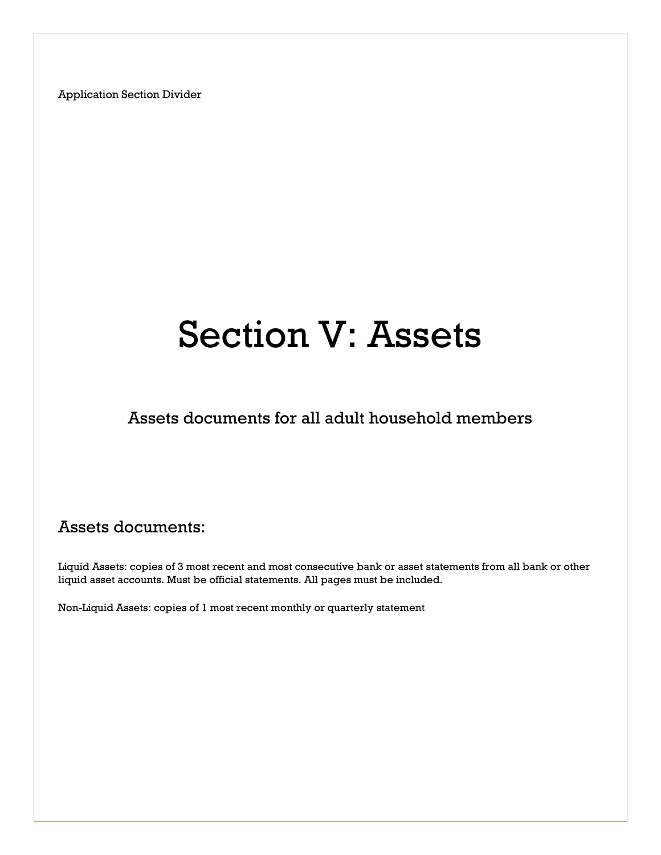# Section V: Assets

Assets documents for all adult household members

# Assets documents:

Liquid Assets: copies of 3 most recent and most consecutive bank or asset statements from all bank or other liquid asset accounts. Must be official statements. All pages must be included.

Non-Liquid Assets: copies of 1 most recent monthly or quarterly statement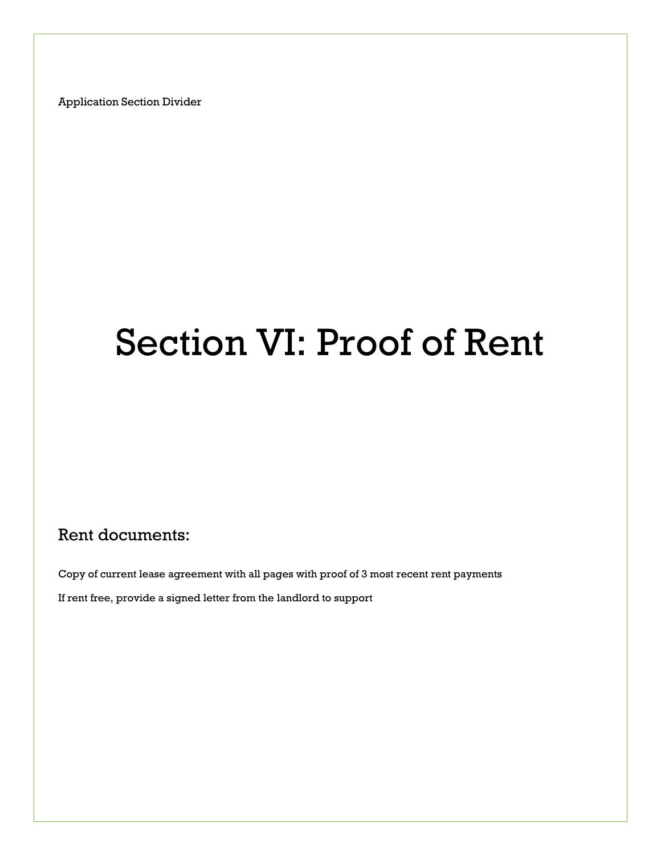# Section VI: Proof of Rent

## Rent documents:

Copy of current lease agreement with all pages with proof of 3 most recent rent payments If rent free, provide a signed letter from the landlord to support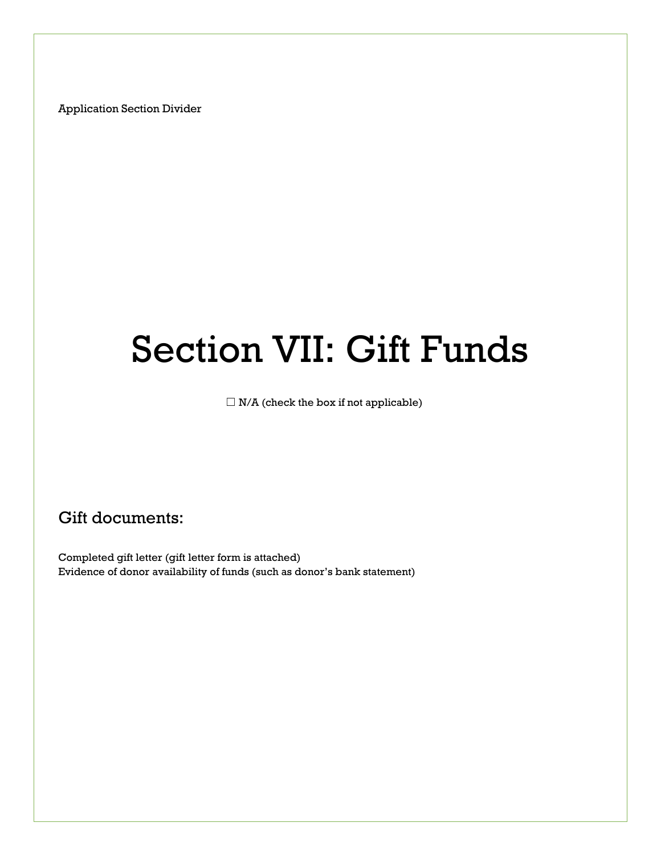# Section VII: Gift Funds

 $\Box$  N/A (check the box if not applicable)

Gift documents:

Completed gift letter (gift letter form is attached) Evidence of donor availability of funds (such as donor's bank statement)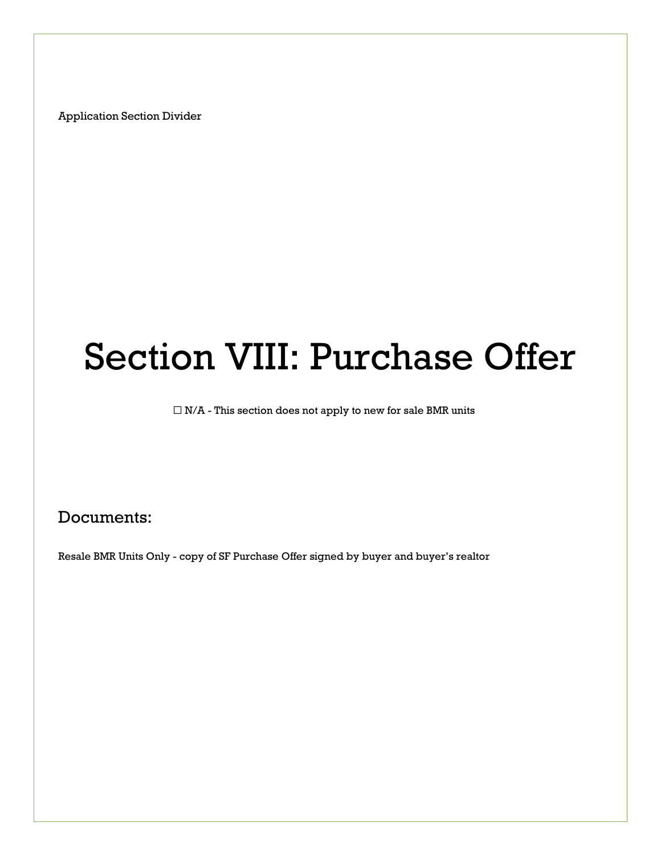# Section VIII: Purchase Offer

 $\Box$  N/A - This section does not apply to new for sale BMR units

## Documents:

Resale BMR Units Only - copy of SF Purchase Offer signed by buyer and buyer's realtor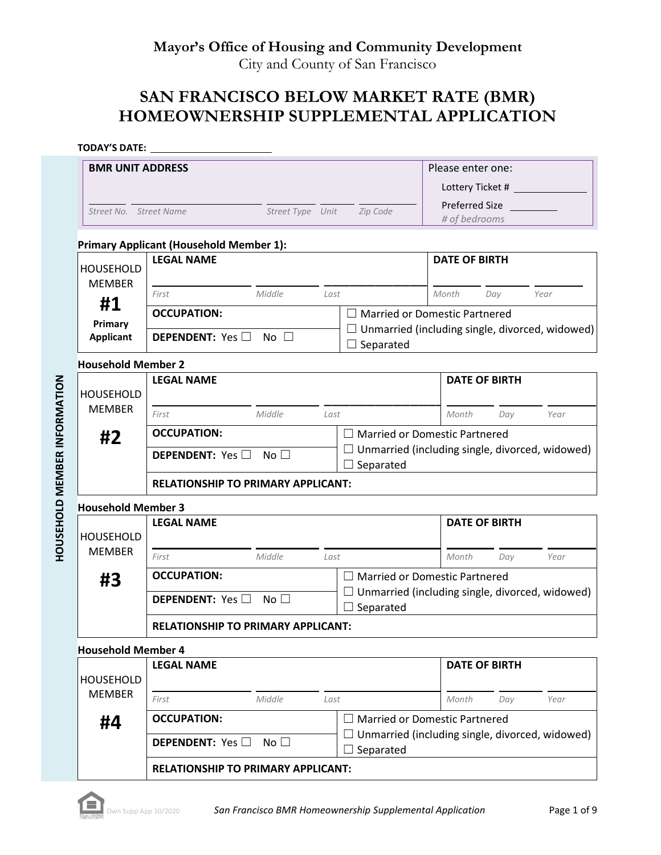## **SAN FRANCISCO BELOW MARKET RATE (BMR) HOMEOWNERSHIP SUPPLEMENTAL APPLICATION**

#### **TODAY'S DATE:**

**HOUSEHOLD MEMBER INFORMATION** 

| <b>BMR UNIT ADDRESS</b>           |                                                |                  |      |                                                                                                | Please enter one:               |     |      |
|-----------------------------------|------------------------------------------------|------------------|------|------------------------------------------------------------------------------------------------|---------------------------------|-----|------|
|                                   |                                                |                  |      |                                                                                                | Lottery Ticket #                |     |      |
| Street No. Street Name            |                                                | Street Type Unit |      | Zip Code                                                                                       | Preferred Size<br># of bedrooms |     |      |
|                                   | <b>Primary Applicant (Household Member 1):</b> |                  |      |                                                                                                |                                 |     |      |
| <b>HOUSEHOLD</b><br><b>MEMBER</b> | <b>LEGAL NAME</b>                              |                  |      |                                                                                                | <b>DATE OF BIRTH</b>            |     |      |
| #1                                | Middle<br>First                                |                  | Last |                                                                                                | Month                           | Day | Year |
| Primary                           | <b>OCCUPATION:</b>                             |                  |      | $\Box$ Married or Domestic Partnered                                                           |                                 |     |      |
| <b>Applicant</b>                  | <b>DEPENDENT:</b> Yes $\Box$<br>No $\square$   |                  |      | $\Box$ Unmarried (including single, divorced, widowed)<br>$\Box$ Separated                     |                                 |     |      |
| <b>Household Member 2</b>         |                                                |                  |      |                                                                                                |                                 |     |      |
| <b>HOUSEHOLD</b>                  | <b>LEGAL NAME</b>                              |                  |      |                                                                                                | <b>DATE OF BIRTH</b>            |     |      |
| <b>MEMBER</b>                     | Middle<br>First                                |                  | Last |                                                                                                | Month                           | Day | Year |
| #2                                | <b>OCCUPATION:</b>                             |                  |      | $\Box$ Married or Domestic Partnered                                                           |                                 |     |      |
|                                   | DEPENDENT: Yes<br>No $\square$                 |                  |      | $\Box$ Unmarried (including single, divorced, widowed)<br>$\Box$ Separated                     |                                 |     |      |
|                                   | <b>RELATIONSHIP TO PRIMARY APPLICANT:</b>      |                  |      |                                                                                                |                                 |     |      |
| <b>Household Member 3</b>         |                                                |                  |      |                                                                                                |                                 |     |      |
| <b>HOUSEHOLD</b>                  | <b>LEGAL NAME</b>                              |                  |      |                                                                                                | <b>DATE OF BIRTH</b>            |     |      |
| <b>MEMBER</b>                     | First<br>Middle                                |                  | Last |                                                                                                | Month                           | Day | Year |
| #3                                | <b>OCCUPATION:</b>                             |                  |      | $\Box$ Married or Domestic Partnered<br>$\Box$ Unmarried (including single, divorced, widowed) |                                 |     |      |
|                                   | DEPENDENT: Yes<br>No $\square$                 |                  |      | $\Box$ Separated                                                                               |                                 |     |      |
|                                   | <b>RELATIONSHIP TO PRIMARY APPLICANT:</b>      |                  |      |                                                                                                |                                 |     |      |
| <b>Household Member 4</b>         |                                                |                  |      |                                                                                                |                                 |     |      |
| <b>HOUSEHOLD</b>                  | <b>LEGAL NAME</b>                              |                  |      |                                                                                                | <b>DATE OF BIRTH</b>            |     |      |
| <b>MEMBER</b>                     | First<br>Middle                                |                  | Last |                                                                                                | Month                           | Day | Year |
| #4                                | <b>OCCUPATION:</b>                             |                  |      | $\Box$ Married or Domestic Partnered                                                           |                                 |     |      |
|                                   | No $\square$<br><b>DEPENDENT:</b> Yes          |                  |      | $\Box$ Unmarried (including single, divorced, widowed)<br>$\Box$ Separated                     |                                 |     |      |
|                                   | <b>RELATIONSHIP TO PRIMARY APPLICANT:</b>      |                  |      |                                                                                                |                                 |     |      |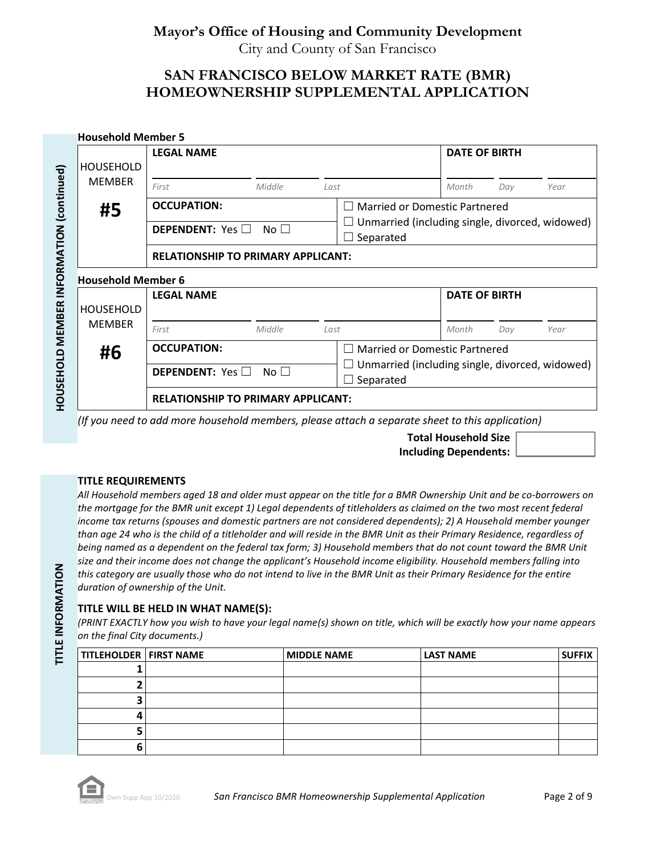## **SAN FRANCISCO BELOW MARKET RATE (BMR) HOMEOWNERSHIP SUPPLEMENTAL APPLICATION**

|                           | <b>LEGAL NAME</b>                         |                 |      |                                                              | <b>DATE OF BIRTH</b> |     |      |
|---------------------------|-------------------------------------------|-----------------|------|--------------------------------------------------------------|----------------------|-----|------|
| <b>HOUSEHOLD</b>          |                                           |                 |      |                                                              |                      |     |      |
| <b>MEMBER</b>             | First                                     | Middle          | Last |                                                              | Month                | Day | Year |
| #5                        | <b>OCCUPATION:</b>                        |                 |      | <b>Married or Domestic Partnered</b>                         |                      |     |      |
|                           | <b>DEPENDENT:</b> Yes $\Box$              | No <sub>1</sub> |      | Unmarried (including single, divorced, widowed)<br>Separated |                      |     |      |
|                           | <b>RELATIONSHIP TO PRIMARY APPLICANT:</b> |                 |      |                                                              |                      |     |      |
|                           |                                           |                 |      |                                                              |                      |     |      |
| <b>Household Member 6</b> |                                           |                 |      |                                                              |                      |     |      |
|                           | <b>LEGAL NAME</b>                         |                 |      |                                                              | <b>DATE OF BIRTH</b> |     |      |
| <b>HOUSEHOLD</b>          |                                           |                 |      |                                                              |                      |     |      |
| <b>MEMBER</b>             | First                                     | Middle          | Last |                                                              | Month                | Day | Year |
|                           | <b>OCCUPATION:</b>                        |                 |      | Married or Domestic Partnered                                |                      |     |      |
| #6                        | <b>DEPENDENT:</b> Yes $\Box$              | No $\Box$       |      | Unmarried (including single, divorced, widowed)<br>Separated |                      |     |      |

*(If you need to add more household members, please attach a separate sheet to this application)*

**Total Household Size Including Dependents:**

#### **TITLE REQUIREMENTS**

*All Household members aged 18 and older must appear on the title for a BMR Ownership Unit and be co-borrowers on the mortgage for the BMR unit except 1) Legal dependents of titleholders as claimed on the two most recent federal income tax returns (spouses and domestic partners are not considered dependents); 2) A Household member younger than age 24 who is the child of a titleholder and will reside in the BMR Unit as their Primary Residence, regardless of being named as a dependent on the federal tax form; 3) Household members that do not count toward the BMR Unit size and their income does not change the applicant's Household income eligibility. Household members falling into this category are usually those who do not intend to live in the BMR Unit as their Primary Residence for the entire duration of ownership of the Unit.*

#### **TITLE WILL BE HELD IN WHAT NAME(S):**

*(PRINT EXACTLY how you wish to have your legal name(s) shown on title, which will be exactly how your name appears on the final City documents.)*

| <b>TITLEHOLDER   FIRST NAME</b> | <b>MIDDLE NAME</b> | <b>LAST NAME</b> | <b>SUFFIX</b> |
|---------------------------------|--------------------|------------------|---------------|
|                                 |                    |                  |               |
|                                 |                    |                  |               |
|                                 |                    |                  |               |
|                                 |                    |                  |               |
|                                 |                    |                  |               |
|                                 |                    |                  |               |

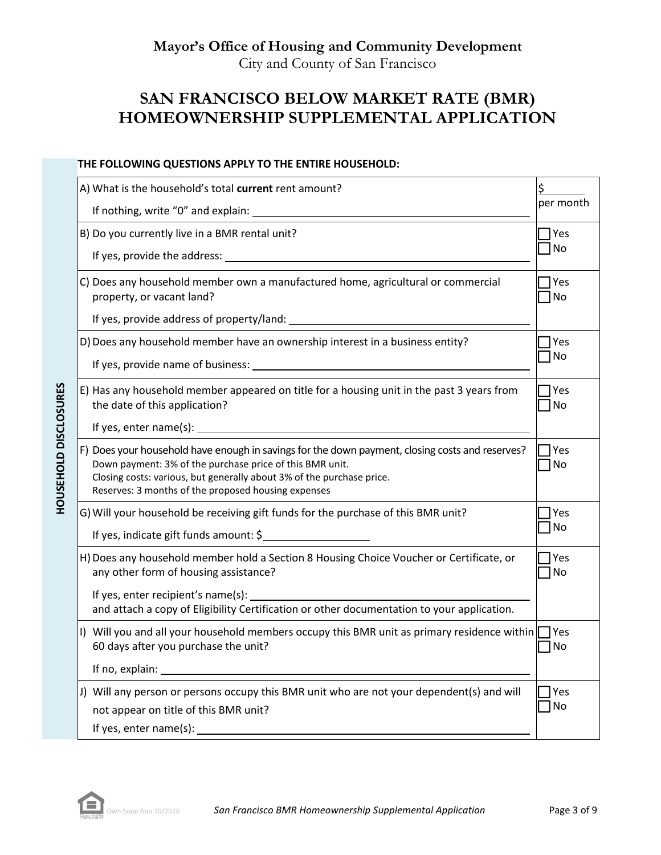# **SAN FRANCISCO BELOW MARKET RATE (BMR) HOMEOWNERSHIP SUPPLEMENTAL APPLICATION**

#### **THE FOLLOWING QUESTIONS APPLY TO THE ENTIRE HOUSEHOLD:**

| A) What is the household's total current rent amount?                                                                                                                                                                                                                                       |                    |
|---------------------------------------------------------------------------------------------------------------------------------------------------------------------------------------------------------------------------------------------------------------------------------------------|--------------------|
|                                                                                                                                                                                                                                                                                             | per month          |
| B) Do you currently live in a BMR rental unit?                                                                                                                                                                                                                                              | <b>Yes</b>         |
|                                                                                                                                                                                                                                                                                             | No                 |
| C) Does any household member own a manufactured home, agricultural or commercial<br>property, or vacant land?                                                                                                                                                                               | 7 Yes<br>1No       |
|                                                                                                                                                                                                                                                                                             |                    |
| D) Does any household member have an ownership interest in a business entity?                                                                                                                                                                                                               | 7 Yes              |
| If yes, provide name of business: 1999 and 1999 and 1999 and 1999 and 1999 and 1999 and 1999 and 1999 and 1999                                                                                                                                                                              | <b>No</b>          |
| E) Has any household member appeared on title for a housing unit in the past 3 years from<br>the date of this application?                                                                                                                                                                  | 7 Yes<br>No        |
| If yes, enter name(s): $\qquad \qquad$                                                                                                                                                                                                                                                      |                    |
| F) Does your household have enough in savings for the down payment, closing costs and reserves?<br>Down payment: 3% of the purchase price of this BMR unit.<br>Closing costs: various, but generally about 3% of the purchase price.<br>Reserves: 3 months of the proposed housing expenses | 7 Yes<br>No        |
| G) Will your household be receiving gift funds for the purchase of this BMR unit?                                                                                                                                                                                                           | Yes                |
| If yes, indicate gift funds amount: \$                                                                                                                                                                                                                                                      | No                 |
| H) Does any household member hold a Section 8 Housing Choice Voucher or Certificate, or<br>any other form of housing assistance?                                                                                                                                                            | 7 Yes<br>No        |
| If yes, enter recipient's name(s):<br>and attach a copy of Eligibility Certification or other documentation to your application.                                                                                                                                                            |                    |
| I) Will you and all your household members occupy this BMR unit as primary residence within<br>60 days after you purchase the unit?                                                                                                                                                         | $\sqcap$ Yes<br>No |
| If no, explain:                                                                                                                                                                                                                                                                             |                    |
| J) Will any person or persons occupy this BMR unit who are not your dependent(s) and will<br>not appear on title of this BMR unit?                                                                                                                                                          | TYes<br>No         |
| If yes, enter name(s):                                                                                                                                                                                                                                                                      |                    |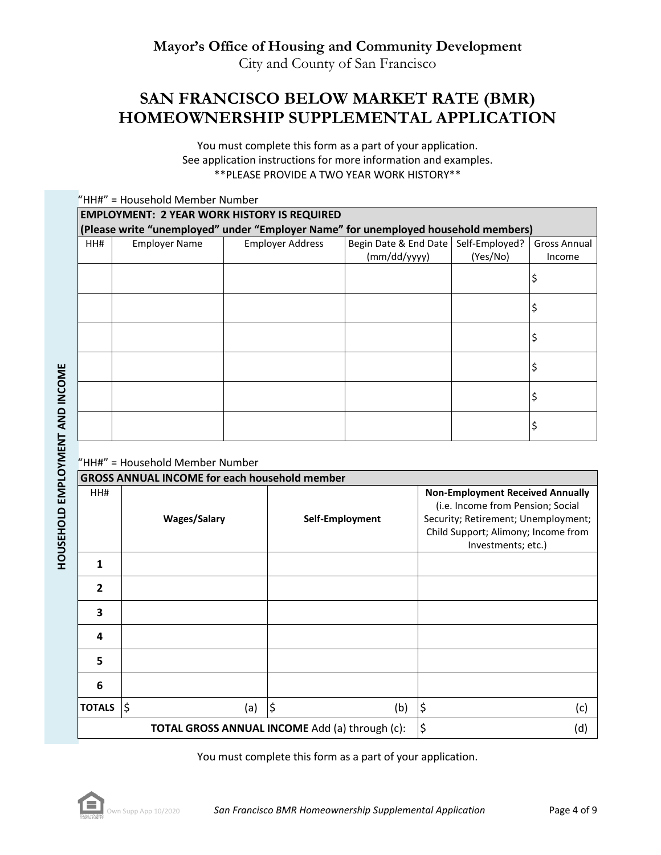# **SAN FRANCISCO BELOW MARKET RATE (BMR) HOMEOWNERSHIP SUPPLEMENTAL APPLICATION**

You must complete this form as a part of your application. See application instructions for more information and examples. \*\*PLEASE PROVIDE A TWO YEAR WORK HISTORY\*\*

|     | "HH#" = Household Member Number                                                    |                         |                                                        |          |                        |  |  |  |
|-----|------------------------------------------------------------------------------------|-------------------------|--------------------------------------------------------|----------|------------------------|--|--|--|
|     | <b>EMPLOYMENT: 2 YEAR WORK HISTORY IS REQUIRED</b>                                 |                         |                                                        |          |                        |  |  |  |
|     | (Please write "unemployed" under "Employer Name" for unemployed household members) |                         |                                                        |          |                        |  |  |  |
| HH# | <b>Employer Name</b>                                                               | <b>Employer Address</b> | Begin Date & End Date   Self-Employed?<br>(mm/dd/yyyy) | (Yes/No) | Gross Annual<br>Income |  |  |  |
|     |                                                                                    |                         |                                                        |          | \$                     |  |  |  |
|     |                                                                                    |                         |                                                        |          | \$                     |  |  |  |
|     |                                                                                    |                         |                                                        |          | \$                     |  |  |  |
|     |                                                                                    |                         |                                                        |          | \$                     |  |  |  |
|     |                                                                                    |                         |                                                        |          | Ş                      |  |  |  |
|     |                                                                                    |                         |                                                        |          | \$                     |  |  |  |

#### "HH#" = Household Member Number

| <b>GROSS ANNUAL INCOME for each household member</b> |                     |                                                |                                                                                                                                                                                  |  |  |  |
|------------------------------------------------------|---------------------|------------------------------------------------|----------------------------------------------------------------------------------------------------------------------------------------------------------------------------------|--|--|--|
| HH#                                                  | <b>Wages/Salary</b> | Self-Employment                                | <b>Non-Employment Received Annually</b><br>(i.e. Income from Pension; Social<br>Security; Retirement; Unemployment;<br>Child Support; Alimony; Income from<br>Investments; etc.) |  |  |  |
| 1                                                    |                     |                                                |                                                                                                                                                                                  |  |  |  |
| $\overline{2}$                                       |                     |                                                |                                                                                                                                                                                  |  |  |  |
| 3                                                    |                     |                                                |                                                                                                                                                                                  |  |  |  |
| 4                                                    |                     |                                                |                                                                                                                                                                                  |  |  |  |
| 5                                                    |                     |                                                |                                                                                                                                                                                  |  |  |  |
| 6                                                    |                     |                                                |                                                                                                                                                                                  |  |  |  |
| <b>TOTALS</b>                                        | \$<br>(a)           | $\varsigma$<br>(b)                             | ¦\$<br>(c)                                                                                                                                                                       |  |  |  |
|                                                      |                     | TOTAL GROSS ANNUAL INCOME Add (a) through (c): | $\varsigma$<br>(d)                                                                                                                                                               |  |  |  |

You must complete this form as a part of your application.

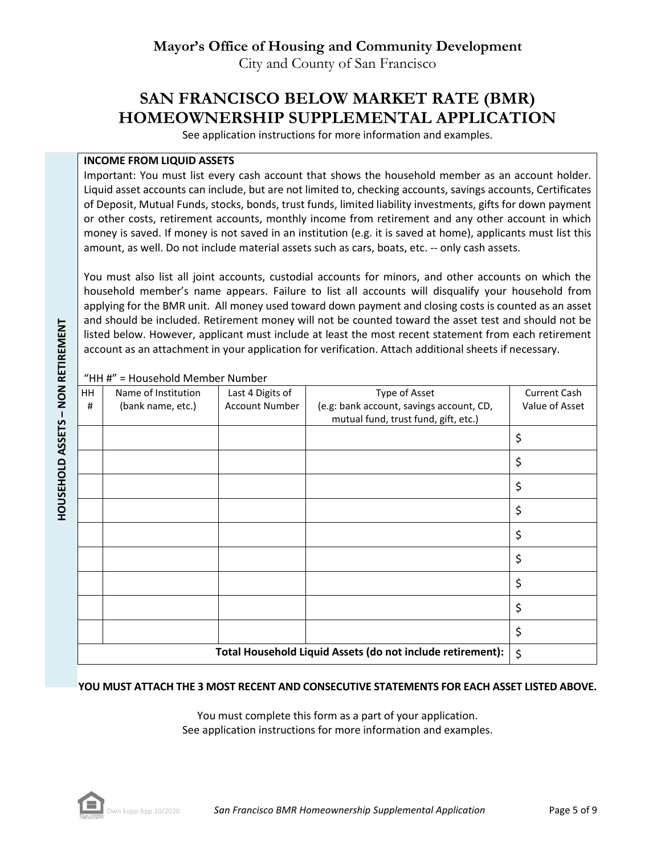# **SAN FRANCISCO BELOW MARKET RATE (BMR) HOMEOWNERSHIP SUPPLEMENTAL APPLICATION**

See application instructions for more information and examples.

#### **INCOME FROM LIQUID ASSETS**

Important: You must list every cash account that shows the household member as an account holder. Liquid asset accounts can include, but are not limited to, checking accounts, savings accounts, Certificates of Deposit, Mutual Funds, stocks, bonds, trust funds, limited liability investments, gifts for down payment or other costs, retirement accounts, monthly income from retirement and any other account in which money is saved. If money is not saved in an institution (e.g. it is saved at home), applicants must list this amount, as well. Do not include material assets such as cars, boats, etc. -- only cash assets.

You must also list all joint accounts, custodial accounts for minors, and other accounts on which the household member's name appears. Failure to list all accounts will disqualify your household from applying for the BMR unit. All money used toward down payment and closing costs is counted as an asset and should be included. Retirement money will not be counted toward the asset test and should not be listed below. However, applicant must include at least the most recent statement from each retirement account as an attachment in your application for verification. Attach additional sheets if necessary.

HH # Name of Institution (bank name, etc.) Last 4 Digits of Account Number Type of Asset (e.g: bank account, savings account, CD, mutual fund, trust fund, gift, etc.) Current Cash Value of Asset \$ \$ \$ \$ \$ \$ \$ \$ \$ **Total Household Liquid Assets (do not include retirement):**  $\vert \xi \rangle$ 

"HH #" = Household Member Number

#### **YOU MUST ATTACH THE 3 MOST RECENT AND CONSECUTIVE STATEMENTS FOR EACH ASSET LISTED ABOVE.**

You must complete this form as a part of your application. See application instructions for more information and examples.



**– NON RETIREMENT**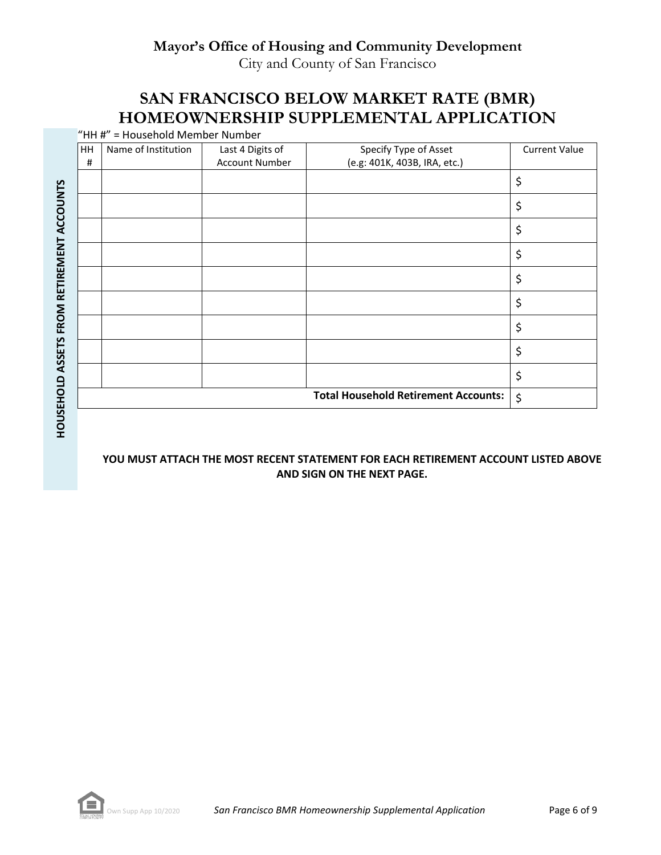## **Mayor's Office of Housing and Community Development**

City and County of San Francisco

# **SAN FRANCISCO BELOW MARKET RATE (BMR) HOMEOWNERSHIP SUPPLEMENTAL APPLICATION**

"HH #" = Household Member Number

|                          | HH | Name of Institution | Last 4 Digits of      | Specify Type of Asset                       | <b>Current Value</b> |
|--------------------------|----|---------------------|-----------------------|---------------------------------------------|----------------------|
|                          | #  |                     | <b>Account Number</b> | (e.g: 401K, 403B, IRA, etc.)                |                      |
|                          |    |                     |                       |                                             | \$                   |
|                          |    |                     |                       |                                             | \$                   |
|                          |    |                     |                       |                                             | \$                   |
|                          |    |                     |                       |                                             | \$                   |
| FROM RETIREMENT ACCOUNTS |    |                     |                       |                                             | \$                   |
|                          |    |                     |                       |                                             | \$                   |
|                          |    |                     |                       |                                             | \$                   |
|                          |    |                     |                       |                                             | \$                   |
|                          |    |                     |                       |                                             | \$                   |
|                          |    |                     |                       | <b>Total Household Retirement Accounts:</b> | \$                   |
| HOUSEHOLD ASSETS         |    |                     |                       |                                             |                      |

#### **YOU MUST ATTACH THE MOST RECENT STATEMENT FOR EACH RETIREMENT ACCOUNT LISTED ABOVE AND SIGN ON THE NEXT PAGE.**

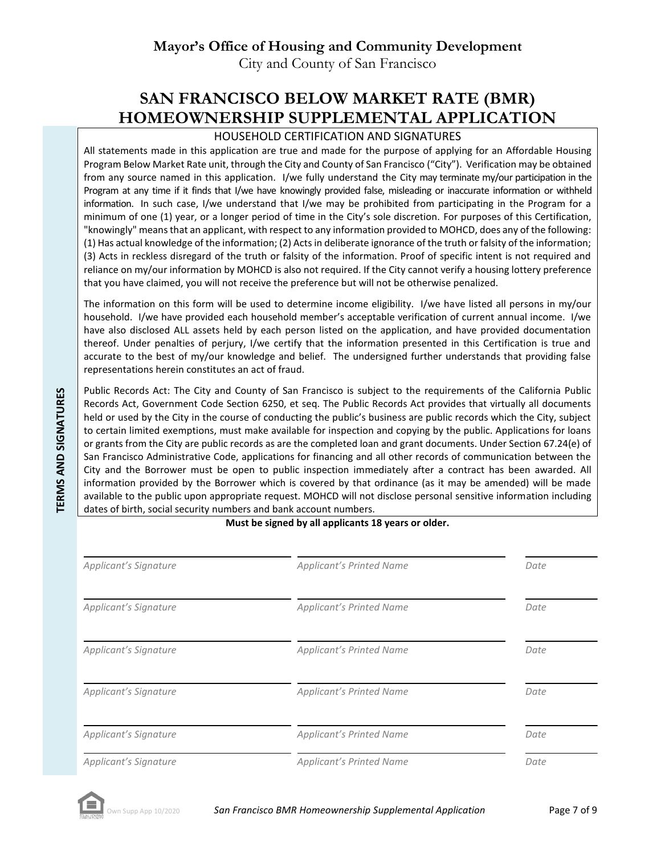## **Mayor's Office of Housing and Community Development**

City and County of San Francisco

# **SAN FRANCISCO BELOW MARKET RATE (BMR) HOMEOWNERSHIP SUPPLEMENTAL APPLICATION**

#### HOUSEHOLD CERTIFICATION AND SIGNATURES

All statements made in this application are true and made for the purpose of applying for an Affordable Housing Program Below Market Rate unit, through the City and County of San Francisco ("City"). Verification may be obtained from any source named in this application. I/we fully understand the City may terminate my/our participation in the Program at any time if it finds that I/we have knowingly provided false, misleading or inaccurate information or withheld information. In such case, I/we understand that I/we may be prohibited from participating in the Program for a minimum of one (1) year, or a longer period of time in the City's sole discretion. For purposes of this Certification, "knowingly" means that an applicant, with respect to any information provided to MOHCD, does any of the following: (1) Has actual knowledge of the information; (2) Acts in deliberate ignorance of the truth or falsity of the information; (3) Acts in reckless disregard of the truth or falsity of the information. Proof of specific intent is not required and reliance on my/our information by MOHCD is also not required. If the City cannot verify a housing lottery preference that you have claimed, you will not receive the preference but will not be otherwise penalized.

The information on this form will be used to determine income eligibility. I/we have listed all persons in my/our household. I/we have provided each household member's acceptable verification of current annual income. I/we have also disclosed ALL assets held by each person listed on the application, and have provided documentation thereof. Under penalties of perjury, I/we certify that the information presented in this Certification is true and accurate to the best of my/our knowledge and belief. The undersigned further understands that providing false representations herein constitutes an act of fraud.

Public Records Act: The City and County of San Francisco is subject to the requirements of the California Public Records Act, Government Code Section 6250, et seq. The Public Records Act provides that virtually all documents held or used by the City in the course of conducting the public's business are public records which the City, subject to certain limited exemptions, must make available for inspection and copying by the public. Applications for loans or grants from the City are public records as are the completed loan and grant documents. Under Section 67.24(e) of San Francisco Administrative Code, applications for financing and all other records of communication between the City and the Borrower must be open to public inspection immediately after a contract has been awarded. All information provided by the Borrower which is covered by that ordinance (as it may be amended) will be made available to the public upon appropriate request. MOHCD will not disclose personal sensitive information including dates of birth, social security numbers and bank account numbers.

**Must be signed by all applicants 18 years or older.**

| Applicant's Signature | <b>Applicant's Printed Name</b> | Date |
|-----------------------|---------------------------------|------|
| Applicant's Signature | <b>Applicant's Printed Name</b> | Date |
| Applicant's Signature | <b>Applicant's Printed Name</b> | Date |
| Applicant's Signature | <b>Applicant's Printed Name</b> | Date |
| Applicant's Signature | <b>Applicant's Printed Name</b> | Date |
| Applicant's Signature | <b>Applicant's Printed Name</b> | Date |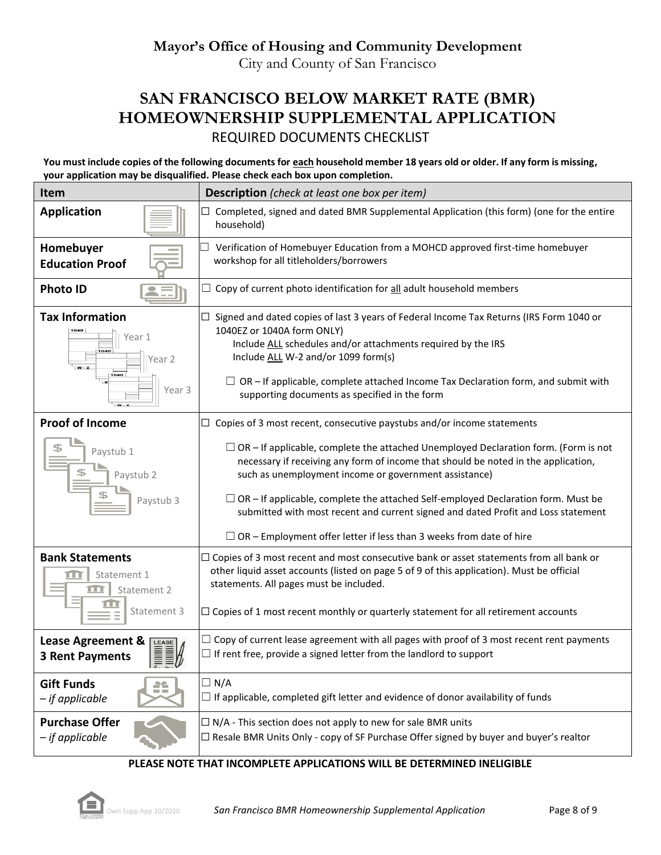# **SAN FRANCISCO BELOW MARKET RATE (BMR) HOMEOWNERSHIP SUPPLEMENTAL APPLICATION** REQUIRED DOCUMENTS CHECKLIST

**You must include copies of the following documents for each household member 18 years old or older. If any form is missing, your application may be disqualified. Please check each box upon completion.**

| <b>Item</b>                                                                    | <b>Description</b> (check at least one box per item)                                                                                                                                                                                                                                                                                                                                                                       |  |  |  |  |
|--------------------------------------------------------------------------------|----------------------------------------------------------------------------------------------------------------------------------------------------------------------------------------------------------------------------------------------------------------------------------------------------------------------------------------------------------------------------------------------------------------------------|--|--|--|--|
| <b>Application</b>                                                             | Completed, signed and dated BMR Supplemental Application (this form) (one for the entire<br>household)                                                                                                                                                                                                                                                                                                                     |  |  |  |  |
| Homebuyer<br><b>Education Proof</b>                                            | Verification of Homebuyer Education from a MOHCD approved first-time homebuyer<br>workshop for all titleholders/borrowers                                                                                                                                                                                                                                                                                                  |  |  |  |  |
| <b>Photo ID</b>                                                                | Copy of current photo identification for all adult household members                                                                                                                                                                                                                                                                                                                                                       |  |  |  |  |
| <b>Tax Information</b><br>1040<br>Year 1<br>ear 2<br>$W - 2$<br>1040<br>Year 3 | Signed and dated copies of last 3 years of Federal Income Tax Returns (IRS Form 1040 or<br>1040EZ or 1040A form ONLY)<br>Include ALL schedules and/or attachments required by the IRS<br>Include ALL W-2 and/or 1099 form(s)<br>$\Box$ OR – If applicable, complete attached Income Tax Declaration form, and submit with<br>supporting documents as specified in the form                                                 |  |  |  |  |
| <b>Proof of Income</b>                                                         | $\Box$ Copies of 3 most recent, consecutive paystubs and/or income statements                                                                                                                                                                                                                                                                                                                                              |  |  |  |  |
| Paystub 1<br>Paystub 2<br>Paystub 3                                            | $\Box$ OR – If applicable, complete the attached Unemployed Declaration form. (Form is not<br>necessary if receiving any form of income that should be noted in the application,<br>such as unemployment income or government assistance)<br>$\Box$ OR – If applicable, complete the attached Self-employed Declaration form. Must be<br>submitted with most recent and current signed and dated Profit and Loss statement |  |  |  |  |
|                                                                                | $\Box$ OR – Employment offer letter if less than 3 weeks from date of hire                                                                                                                                                                                                                                                                                                                                                 |  |  |  |  |
| <b>Bank Statements</b><br>Statement 1<br>Statement 2<br>Statement 3            | $\Box$ Copies of 3 most recent and most consecutive bank or asset statements from all bank or<br>other liquid asset accounts (listed on page 5 of 9 of this application). Must be official<br>statements. All pages must be included.<br>$\Box$ Copies of 1 most recent monthly or quarterly statement for all retirement accounts                                                                                         |  |  |  |  |
| Lease Agreement &<br><b>EASE</b><br><b>3 Rent Payments</b><br>$\beta$ $\beta$  | $\Box$ Copy of current lease agreement with all pages with proof of 3 most recent rent payments<br>$\Box$ If rent free, provide a signed letter from the landlord to support                                                                                                                                                                                                                                               |  |  |  |  |
| <b>Gift Funds</b><br>羊<br>- if applicable                                      | $\Box$ N/A<br>$\Box$ If applicable, completed gift letter and evidence of donor availability of funds                                                                                                                                                                                                                                                                                                                      |  |  |  |  |
| <b>Purchase Offer</b><br>- if applicable                                       | $\Box$ N/A - This section does not apply to new for sale BMR units<br>$\Box$ Resale BMR Units Only - copy of SF Purchase Offer signed by buyer and buyer's realtor                                                                                                                                                                                                                                                         |  |  |  |  |

#### **PLEASE NOTE THAT INCOMPLETE APPLICATIONS WILL BE DETERMINED INELIGIBLE**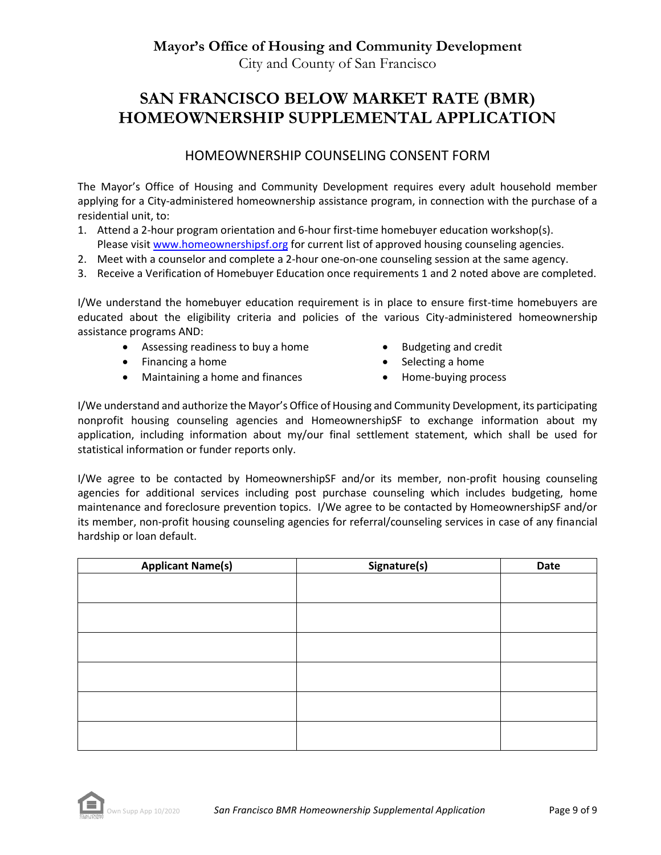**Mayor's Office of Housing and Community Development**

City and County of San Francisco

# **SAN FRANCISCO BELOW MARKET RATE (BMR) HOMEOWNERSHIP SUPPLEMENTAL APPLICATION**

### HOMEOWNERSHIP COUNSELING CONSENT FORM

The Mayor's Office of Housing and Community Development requires every adult household member applying for a City-administered homeownership assistance program, in connection with the purchase of a residential unit, to:

- 1. Attend a 2-hour program orientation and 6-hour first-time homebuyer education workshop(s). Please visit [www.homeowne](http://www.homeownershipsf.org/)rshipsf.org for current list of approved housing counseling agencies.
- 2. Meet with a counselor and complete a 2-hour one-on-one counseling session at the same agency.
- 3. Receive a Verification of Homebuyer Education once requirements 1 and 2 noted above are completed.

I/We understand the homebuyer education requirement is in place to ensure first-time homebuyers are educated about the eligibility criteria and policies of the various City-administered homeownership assistance programs AND:

- Assessing readiness to buy a home Budgeting and credit
- Financing a home **•** Selecting a home
- Maintaining a home and finances Home-buying process
- 
- -

I/We understand and authorize the Mayor's Office of Housing and Community Development, its participating nonprofit housing counseling agencies and HomeownershipSF to exchange information about my application, including information about my/our final settlement statement, which shall be used for statistical information or funder reports only.

I/We agree to be contacted by HomeownershipSF and/or its member, non-profit housing counseling agencies for additional services including post purchase counseling which includes budgeting, home maintenance and foreclosure prevention topics. I/We agree to be contacted by HomeownershipSF and/or its member, non-profit housing counseling agencies for referral/counseling services in case of any financial hardship or loan default.

| <b>Applicant Name(s)</b> | Signature(s) | Date |
|--------------------------|--------------|------|
|                          |              |      |
|                          |              |      |
|                          |              |      |
|                          |              |      |
|                          |              |      |
|                          |              |      |
|                          |              |      |
|                          |              |      |
|                          |              |      |
|                          |              |      |
|                          |              |      |
|                          |              |      |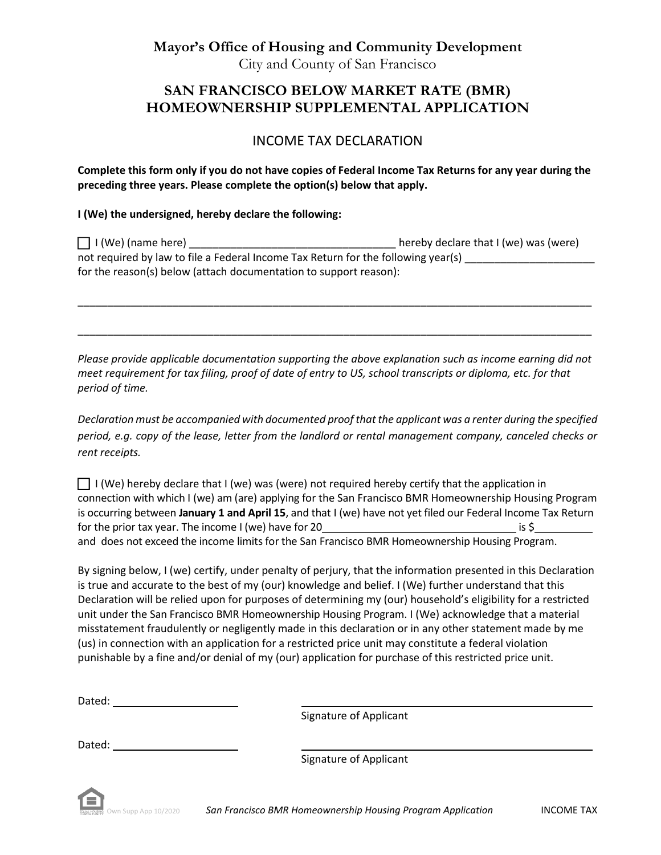**Mayor's Office of Housing and Community Development** City and County of San Francisco

## **SAN FRANCISCO BELOW MARKET RATE (BMR) HOMEOWNERSHIP SUPPLEMENTAL APPLICATION**

### INCOME TAX DECLARATION

**Complete this form only if you do not have copies of Federal Income Tax Returns for any year during the preceding three years. Please complete the option(s) below that apply.** 

#### **I (We) the undersigned, hereby declare the following:**

| $\Box$ I (We) (name here)                                                         | hereby declare that I (we) was (were) |  |  |  |
|-----------------------------------------------------------------------------------|---------------------------------------|--|--|--|
| not required by law to file a Federal Income Tax Return for the following year(s) |                                       |  |  |  |
| for the reason(s) below (attach documentation to support reason):                 |                                       |  |  |  |

\_\_\_\_\_\_\_\_\_\_\_\_\_\_\_\_\_\_\_\_\_\_\_\_\_\_\_\_\_\_\_\_\_\_\_\_\_\_\_\_\_\_\_\_\_\_\_\_\_\_\_\_\_\_\_\_\_\_\_\_\_\_\_\_\_\_\_\_\_\_\_\_\_\_\_\_\_\_\_\_\_\_\_\_\_\_\_

\_\_\_\_\_\_\_\_\_\_\_\_\_\_\_\_\_\_\_\_\_\_\_\_\_\_\_\_\_\_\_\_\_\_\_\_\_\_\_\_\_\_\_\_\_\_\_\_\_\_\_\_\_\_\_\_\_\_\_\_\_\_\_\_\_\_\_\_\_\_\_\_\_\_\_\_\_\_\_\_\_\_\_\_\_\_\_

*Please provide applicable documentation supporting the above explanation such as income earning did not meet requirement for tax filing, proof of date of entry to US, school transcripts or diploma, etc. for that period of time.*

*Declaration must be accompanied with documented proof that the applicant was a renter during the specified period, e.g. copy of the lease, letter from the landlord or rental management company, canceled checks or rent receipts.*

 $\Box$  I (We) hereby declare that I (we) was (were) not required hereby certify that the application in connection with which I (we) am (are) applying for the San Francisco BMR Homeownership Housing Program is occurring between **January 1 and April 15**, and that I (we) have not yet filed our Federal Income Tax Return for the prior tax year. The income I (we) have for  $20 \overline{\ }$  is \$ and does not exceed the income limits for the San Francisco BMR Homeownership Housing Program.

By signing below, I (we) certify, under penalty of perjury, that the information presented in this Declaration is true and accurate to the best of my (our) knowledge and belief. I (We) further understand that this Declaration will be relied upon for purposes of determining my (our) household's eligibility for a restricted unit under the San Francisco BMR Homeownership Housing Program. I (We) acknowledge that a material misstatement fraudulently or negligently made in this declaration or in any other statement made by me (us) in connection with an application for a restricted price unit may constitute a federal violation punishable by a fine and/or denial of my (our) application for purchase of this restricted price unit.

| Dated: |                        |
|--------|------------------------|
|        | Signature of Applicant |

Signature of Applicant

Dated: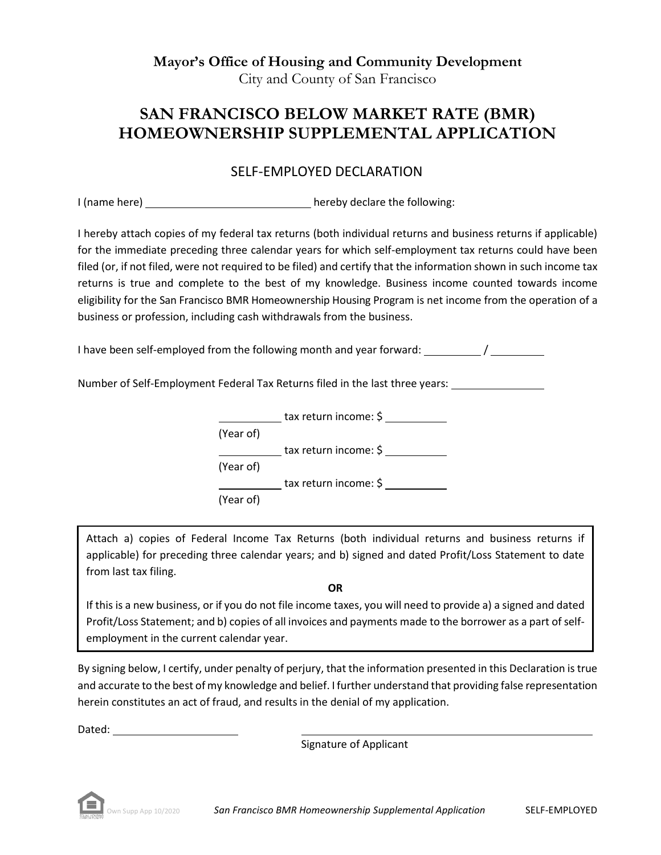**Mayor's Office of Housing and Community Development** City and County of San Francisco

## **SAN FRANCISCO BELOW MARKET RATE (BMR) HOMEOWNERSHIP SUPPLEMENTAL APPLICATION**

## SELF-EMPLOYED DECLARATION

I (name here) hereby declare the following:

I hereby attach copies of my federal tax returns (both individual returns and business returns if applicable) for the immediate preceding three calendar years for which self-employment tax returns could have been filed (or, if not filed, were not required to be filed) and certify that the information shown in such income tax returns is true and complete to the best of my knowledge. Business income counted towards income eligibility for the San Francisco BMR Homeownership Housing Program is net income from the operation of a business or profession, including cash withdrawals from the business.

I have been self-employed from the following month and year forward: 1

Number of Self-Employment Federal Tax Returns filed in the last three years:

tax return income: \$ (Year of) **The Continuum of the Vietnian Continuum** tax return income: \$ (Year of) tax return income: \$ (Year of)

Attach a) copies of Federal Income Tax Returns (both individual returns and business returns if applicable) for preceding three calendar years; and b) signed and dated Profit/Loss Statement to date from last tax filing.

**OR**

If this is a new business, or if you do not file income taxes, you will need to provide a) a signed and dated Profit/Loss Statement; and b) copies of all invoices and payments made to the borrower as a part of selfemployment in the current calendar year.

By signing below, I certify, under penalty of perjury, that the information presented in this Declaration is true and accurate to the best of my knowledge and belief. I further understand that providing false representation herein constitutes an act of fraud, and results in the denial of my application.

Dated: when the contract of the contract of the contract of the contract of the contract of the contract of the contract of the contract of the contract of the contract of the contract of the contract of the contract of th

Signature of Applicant